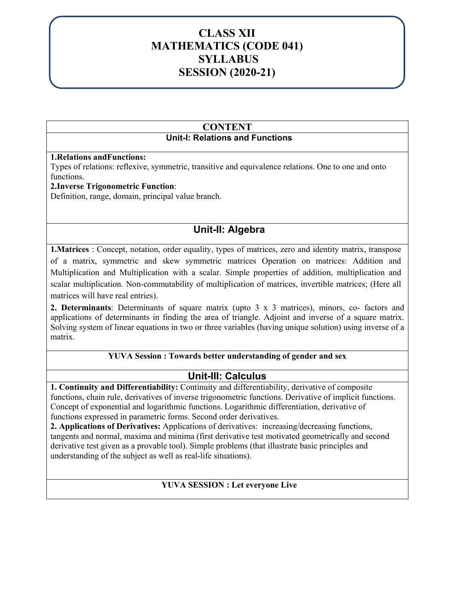## SESSION 2020-21 **CLASS XII MATHEMATICS (CODE 041) SYLLABUS SESSION (2020-21)**

## **CONTENT Unit-I: Relations and Functions**

#### **1.Relations andFunctions:**

Types of relations: reflexive, symmetric, transitive and equivalence relations. One to one and onto functions.

#### **2.Inverse Trigonometric Function**:

Definition, range, domain, principal value branch.

# **Unit-II: Algebra**

**1.Matrices** : Concept, notation, order equality, types of matrices, zero and identity matrix, transpose of a matrix, symmetric and skew symmetric matrices Operation on matrices: Addition and Multiplication and Multiplication with a scalar. Simple properties of addition, multiplication and scalar multiplication. Non-commutability of multiplication of matrices, invertible matrices; (Here all matrices will have real entries).

**2. Determinants**: Determinants of square matrix (upto 3 x 3 matrices), minors, co- factors and applications of determinants in finding the area of triangle. Adjoint and inverse of a square matrix. Solving system of linear equations in two or three variables (having unique solution) using inverse of a matrix.

#### **YUVA Session : Towards better understanding of gender and sex**

## **Unit-III: Calculus**

**1. Continuity and Differentiability:** Continuity and differentiability, derivative of composite functions, chain rule, derivatives of inverse trigonometric functions. Derivative of implicit functions. Concept of exponential and logarithmic functions. Logarithmic differentiation, derivative of functions expressed in parametric forms. Second order derivatives.

**2. Applications of Derivatives:** Applications of derivatives: increasing/decreasing functions, tangents and normal, maxima and minima (first derivative test motivated geometrically and second derivative test given as a provable tool). Simple problems (that illustrate basic principles and understanding of the subject as well as real-life situations).

#### **YUVA SESSION : Let everyone Live**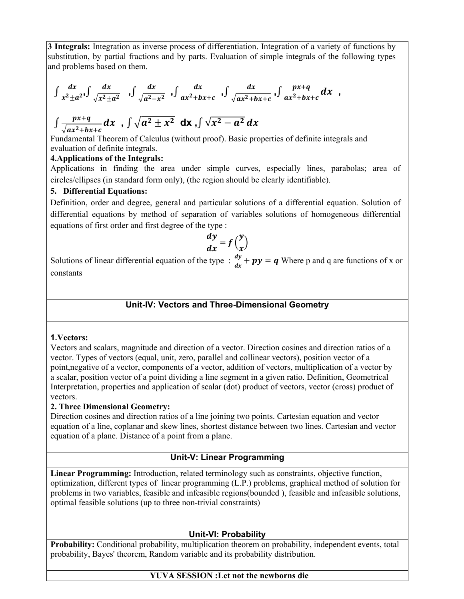**3 Integrals:** Integration as inverse process of differentiation. Integration of a variety of functions by substitution, by partial fractions and by parts. Evaluation of simple integrals of the following types and problems based on them.

$$
\int \frac{dx}{x^2 \pm a^2} \int \frac{dx}{\sqrt{x^2 \pm a^2}} \int \frac{dx}{\sqrt{a^2 - x^2}} \int \frac{dx}{ax^2 + bx + c} \int \frac{dx}{\sqrt{ax^2 + bx + c}} \int \frac{px + q}{ax^2 + bx + c} dx ,
$$
  

$$
\int \frac{px + q}{\sqrt{ax^2 + bx + c}} dx \int \sqrt{a^2 \pm x^2} dx \int \sqrt{x^2 - a^2} dx
$$

Fundamental Theorem of Calculus (without proof). Basic properties of definite integrals and evaluation of definite integrals.

#### **4.Applications of the Integrals:**

Applications in finding the area under simple curves, especially lines, parabolas; area of circles/ellipses (in standard form only), (the region should be clearly identifiable).

#### **5. Differential Equations:**

Definition, order and degree, general and particular solutions of a differential equation. Solution of differential equations by method of separation of variables solutions of homogeneous differential equations of first order and first degree of the type :

$$
\frac{dy}{dx} = f\left(\frac{y}{x}\right)
$$

Solutions of linear differential equation of the type :  $\frac{dy}{dx} + py = q$  Where p and q are functions of x or constants

#### **Unit-IV: Vectors and Three-Dimensional Geometry**

#### **1.Vectors:**

Vectors and scalars, magnitude and direction of a vector. Direction cosines and direction ratios of a vector. Types of vectors (equal, unit, zero, parallel and collinear vectors), position vector of a point,negative of a vector, components of a vector, addition of vectors, multiplication of a vector by a scalar, position vector of a point dividing a line segment in a given ratio. Definition, Geometrical Interpretation, properties and application of scalar (dot) product of vectors, vector (cross) product of vectors.

#### **2. Three Dimensional Geometry:**

Direction cosines and direction ratios of a line joining two points. Cartesian equation and vector equation of a line, coplanar and skew lines, shortest distance between two lines. Cartesian and vector equation of a plane. Distance of a point from a plane.

#### **Unit-V: Linear Programming**

**Linear Programming:** Introduction, related terminology such as constraints, objective function, optimization, different types of linear programming (L.P.) problems, graphical method of solution for problems in two variables, feasible and infeasible regions(bounded ), feasible and infeasible solutions, optimal feasible solutions (up to three non-trivial constraints)

#### **Unit-VI: Probability**

**Probability:** Conditional probability, multiplication theorem on probability, independent events, total probability, Bayes' theorem, Random variable and its probability distribution.

#### **YUVA SESSION :Let not the newborns die**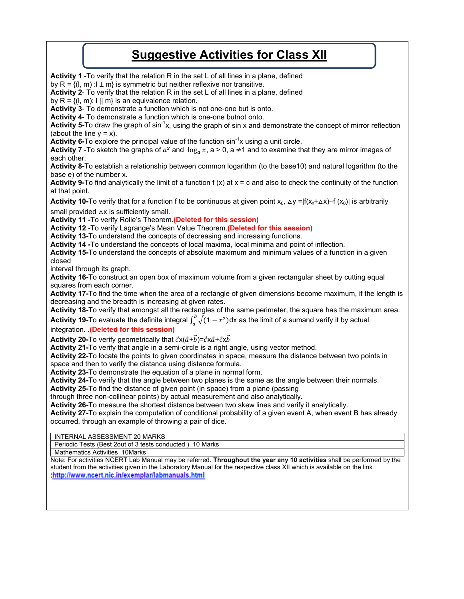# **Suggestive Activities for Class XII**

**Activity 1** -To verify that the relation R in the set L of all lines in a plane, defined by R =  $\{(l, m) : l \perp m\}$  is symmetric but neither reflexive nor transitive. **Activity 2**- To verify that the relation R in the set L of all lines in a plane, defined by  $R = \{(l, m): l \mid m\}$  is an equivalence relation. **Activity 3**- To demonstrate a function which is not one-one but is onto. **Activity 4**- To demonstrate a function which is one-one butnot onto. **Activity 5-**To draw the graph of sin-1x, using the graph of sin x and demonstrate the concept of mirror reflection (about the line  $y = x$ ). **Activity 6-To explore the principal value of the function sin<sup>-1</sup>x using a unit circle. Activity 7** -To sketch the graphs of  $a^x$  and  $\log_a x$ , a > 0, a  $\neq$ 1 and to examine that they are mirror images of each other. **Activity 8-**To establish a relationship between common logarithm (to the base10) and natural logarithm (to the base e) of the number x. **Activity 9-**To find analytically the limit of a function f (x) at x = c and also to check the continuity of the function at that point. **Activity 10-**To verify that for a function f to be continuous at given point  $x_0$ ,  $\Delta y = |f(x_0 + \Delta x) - f(x_0)|$  is arbitrarily small provided  $\Delta x$  is sufficiently small. **Activity 11 -**To verify Rolle's Theorem.**(Deleted for this session) Activity 12 -**To verify Lagrange's Mean Value Theorem.**(Deleted for this session) Activity 13-**To understand the concepts of decreasing and increasing functions. **Activity 14 -**To understand the concepts of local maxima, local minima and point of inflection. **Activity 15-**To understand the concepts of absolute maximum and minimum values of a function in a given closed interval through its graph. **Activity 16-**To construct an open box of maximum volume from a given rectangular sheet by cutting equal squares from each corner. **Activity 17-**To find the time when the area of a rectangle of given dimensions become maximum, if the length is decreasing and the breadth is increasing at given rates. **Activity 18-**To verify that amongst all the rectangles of the same perimeter, the square has the maximum area. **Activity 19-**To evaluate the definite integral  $\int_a^b \sqrt{(1-x^2)}$ dx as the limit of a sumand verify it by actual integration. .**(Deleted for this session) Activity 20-To verify geometrically that**  $\vec{c}$ **x(** $\vec{a}$ **+** $\vec{b}$ **)=** $\vec{c}$ **x** $\vec{a}$ **+** $\vec{c}$ **x** $\vec{b}$ **Activity 21-**To verify that angle in a semi-circle is a right angle, using vector method. **Activity 22-**To locate the points to given coordinates in space, measure the distance between two points in space and then to verify the distance using distance formula. **Activity 23-**To demonstrate the equation of a plane in normal form. **Activity 24-**To verify that the angle between two planes is the same as the angle between their normals. **Activity 25-**To find the distance of given point (in space) from a plane (passing through three non-collinear points) by actual measurement and also analytically. **Activity 26-**To measure the shortest distance between two skew lines and verify it analytically. **Activity 27-**To explain the computation of conditional probability of a given event A, when event B has already occurred, through an example of throwing a pair of dice. INTERNAL ASSESSMENT 20 MARKS Periodic Tests (Best 2out of 3 tests conducted ) 10 Marks Mathematics Activities 10Marks Note: For activities NCERT Lab Manual may be referred. **Throughout the year any 10 activities** shall be performed by the student from the activities given in the Laboratory Manual for the respective class XII which is available on the link http://www.ncert.nic.in/exemplar/labmanuals.html